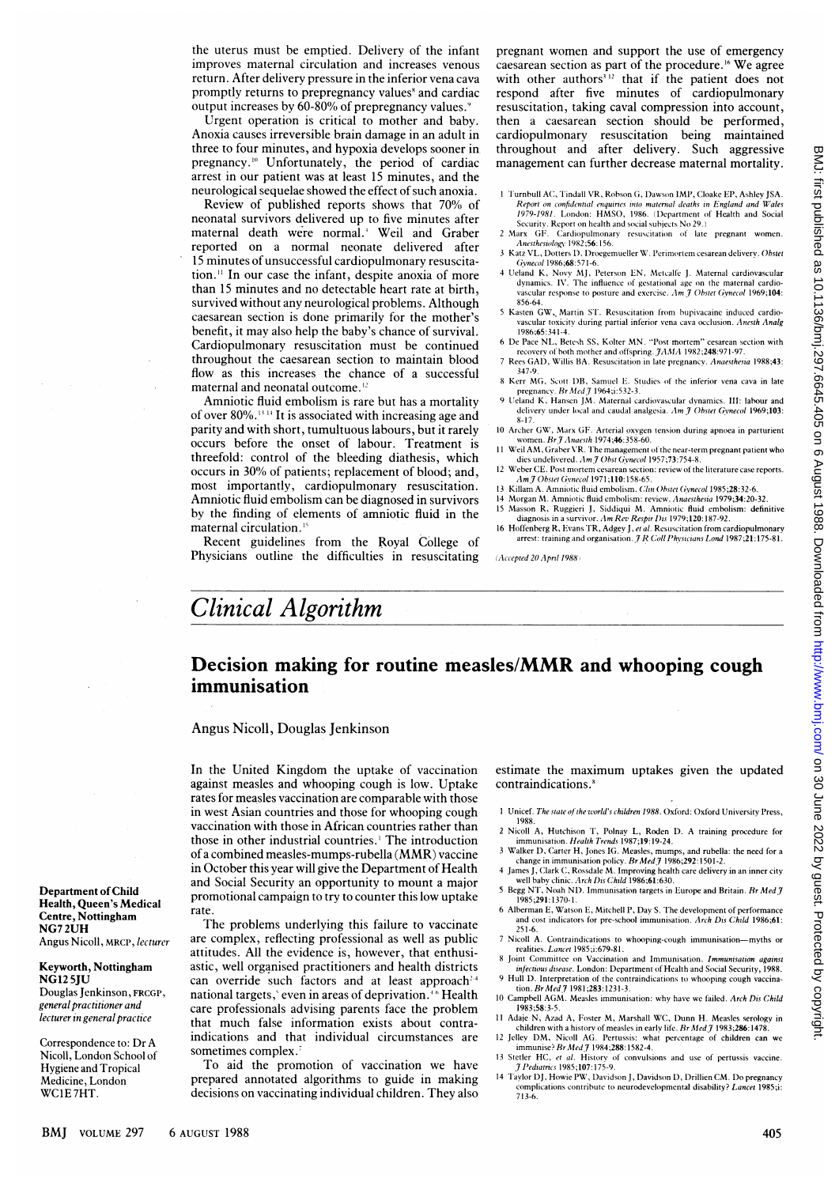the uterus must be emptied. Delivery of the infant improves maternal circulation and increases venous return. After delivery pressure in the inferior vena cava promptly returns to prepregnancy values' and cardiac output increases by 60-80% of prepregnancy values.

Urgent operation is critical to mother and baby. Anoxia causes irreversible brain damage in an adult in three to four minutes, and hypoxia develops sooner in pregnancy.'0 Unfortunately, the period of cardiac arrest in our patient was at least 15 minutes, and the neurological sequelae showed the effect of such anoxia.

Review of published reports shows that 70% of neonatal survivors delivered up to five minutes after maternal death were normal.' Weil and Graber reported on a normal neonate delivered after 15 minutes of unsuccessful cardiopulmonary resuscitation." In our case the infant, despite anoxia of more than 15 minutes and no detectable heart rate at birth, survived without any neurological problems. Although caesarean section is done primarily for the mother's benefit, it may also help the baby's chance of survival. Cardiopulmonary resuscitation must be continued throughout the caesarean section to maintain blood flow as this increases the chance of a successful maternal and neonatal outcome.<sup>12</sup>

Amniotic fluid embolism is rare but has a mortality of over  $80\%$ .<sup>13</sup> <sup>14</sup> It is associated with increasing age and parity and with short, tumultuous labours, but it rarely occurs before the onset of labour. Treatment is threefold: control of the bleeding diathesis, which occurs in 30% of patients; replacement of blood; and, most importantly, cardiopulmonary resuscitation. Amniotic fluid embolism can be diagnosed in survivors by the finding of elements of amniotic fluid in the maternal circulation.'

Recent guidelines from the Royal College of Physicians outline the difficulties in resuscitating pregnant women and support the use of emergency caesarean section as part of the procedure.'6 We agree with other authors<sup>312</sup> that if the patient does not respond after five minutes of cardiopulmonary resuscitation, taking caval compression into account, then a caesarean section should be performed, cardiopulmonary resuscitation being maintained throughout and after delivery. Such aggressive management can further decrease maternal mortality.

- I Turnbull AC, Tindall VR, Robson G, Dawson IMP, Cloake EP, Ashley JSA. Report on confidential enquiries into maternal deaths in England and W'ales 1979-1981. Lorndon: HMSO, 1986. (Department of Health and Social Security. Report on health and social subjects No 29.)
- 2 Marx GF. Cardiopulmonary resuscitation of late pregnant women.<br>Anesthesiology 1982;56:156.
- 3 Katz VL, Dotters 1). Droegemueller W. Perimortem cesarean delivery. Obstet<br>Gwnecol 1986:68:571-6
- Gynecol 1986;68:571-6.<br>4 Ueland K, Novy MJ, Peterson EN, Metcalfe J. Maternal cardiovascular<br>dynamics. IV. The influence of gestational age on the maternal cardiovascular response to posture and exercise.  $Am\bar{J}$  Obstet Gynecol 1969;104: 856-64.
- <sup>5</sup> Kasten GW,, Martin ST. Resuscitation from bupivacaine induced cardiovascular toxicity during partial inferior vena cava occlusion. Anesth Analg 1986;65:341-4.
- <sup>6</sup> De Pace NL, Betesh SS, Kolter MN. "I'ost imortem" cesarean section with recovery of both mother and offspring. *JAMA* 1982;248:971-97. <sup>7</sup> Rees GAD, Willis BA. Resuscitation in late pregnancy. Anaesthesia 1988;43:
- 347-9. <sup>8</sup> Kerr MG, Scott D1B, Samuel E. Studies of the inferior vena cava in late
- pregnancy. *Br Med J* 1964;i:532-3.<br>9 Ueland K, Hansen JM. Maternal cardiovascular dynamics. III: labour and delivery under local and caudal analgesia. Am J Obstet Gynecol 1969;103:
- 8-17. 10 Archer GW, Marx GF. Arterial oxygen tension during apnoea in parturient women. Br $\hat{J}$  Anaesth 1974;46:358-60.
- 11 Weil AM, Graber VR. The management of the near-term pregnant patient who dies undelivered. Am J Obst Gynecol 1957;73:754-8.
- 12 Weber CE. Post mortem cesarean section: review of the literature case reports.<br> *Am J Obstet Gynecol* 1971;110:158-65.
- 13 Killam A. Amniotic fluid embolism. *Clin Obstet Gynecol* 1985;**28**:32-6.<br>14 Morgan M. Amniotic fluid embolism: review. *Anaesthesia* 1979;**34**:20-32.
- 
- 15 Masson R, Ruggieri J, Siddiqui M. Amniotic fluid embolism: definitive diagnosis in a survivor. Am Rev Respir Dis 1979;120:187-92. 16 Hoffenberg R, Evans TR, Adgey J, *et al.* Resuscitation from cardiopulmonary<br>arrest: training and organisation. *J R Coll Physicians Lond* 1987;21:175-81.

(Accepted 20 April 1988)

## Clinical Algorithm

## Decision making for routine measles/MMR and whooping cough immunisation

Angus Nicoll, Douglas Jenkinson

In the United Kingdom the uptake of vaccination against measles and whooping cough is low. Uptake rates for measles vaccination are comparable with those in west Asian countries and those for whooping cough vaccination with those in African countries rather than those in other industrial countries.<sup>1</sup> The introduction of <sup>a</sup> combined measles-mumps-rubella (MMR) vaccine in October this year will give the Department of Health and Social Security an opportunity to mount a major promotional campaign to try to counter this low uptake rate.

The problems underlying this failure to vaccinate are complex, reflecting professional as well as public attitudes. All the evidence is, however, that enthusiastic, well organised practitioners and health districts can override such factors and at least approach<sup>24</sup> national targets,' even in areas of deprivation.<sup>46</sup> Health care professionals advising parents face the problem that much false information exists about contraindications and that individual circumstances are sometimes complex.

To aid the promotion of vaccination we have prepared annotated algorithms to guide in making decisions on vaccinating individual children. They also

estimate the maximum uptakes given the updated contraindications.'

- 1 Unicef. The state of the world's children 1988. Oxford: Oxford University Press, 1988.
- 2 Nicoll A, Hutchison T, Polnay L, Roden D. A training procedure for
- immunisation. *Health Trends* 1987;19:19-24.<br>3 Walker D, Carter H, Jones IG. Measles, mumps, and rubella: the need for a
- change in immunisation policy. *Br Med J* 1986;292:1501-2.<br>4 James J, Clark C, Rossdale M. Improving health care delivery in an inner city
- well baby clinic. Arch Dis Child 1986;61:630.<br>5 Begg NT, Noah ND. Immunisation targets in Europe and Britain. Br Med J 1985;291: 1370-1.
- 6 Alberman E, Watson E, Mitchell P, Day S. The development of performance and cost indicators for pre-school immunisation. Arch Dis Child 1986;61: 251-6.
- 7 Nicoll A. Contraindications to whooping-cough immunisation-myths or realities. Lancet 1985;i:679-81.
- 8 Joint Committee on Vaccination and Immunisation. *Immunisation against*<br>infectious disease. London: Department of Health and Social Security, 1988.
- 9 Hull D. Interpretation of the contraindications to whooping cough vaccination. Br  $Med\,7$  1981;283:1231-3. 10 Campbell AGM. Measles immunisation: why have we failed. Arch Dis Child
- 1983;58:3-5.
- 11 Adaje N, Azad A, Foster M, Marshall WC, Dunn H. Measles serology in children with a history of measles in early life. Br Med J 1983;286:1478.
- 12 Jelley DM, Nicoll AG. Pertussis: what percentage of children can we immunise? Br Med J 1984;288:1582-4. 13 Stetler HC, et al. History of convulsions and use of pertussis vaccine
- 7Pediatrics 1985;107:175-9. <sup>14</sup> Taylor DJ, Howie PW, Davidson J, Davidson D, Drillien CM. Do pregnancy
- complications contribute to neurodevelopmental disability? Lancet 1985;i: 713-6.

Department of Child Health, Queen's Medical Centre, Nottingham NG72UH Angus Nicoll, MRCP, lecturer

Keyworth, Nottingham NG12 5JU Douglas Jenkinson, FRCGP, general practitioner and lecturer in general practice

Correspondence to: Dr A Nicoll, London School of Hygiene and Tropical Medicine, London WC1E 7HT.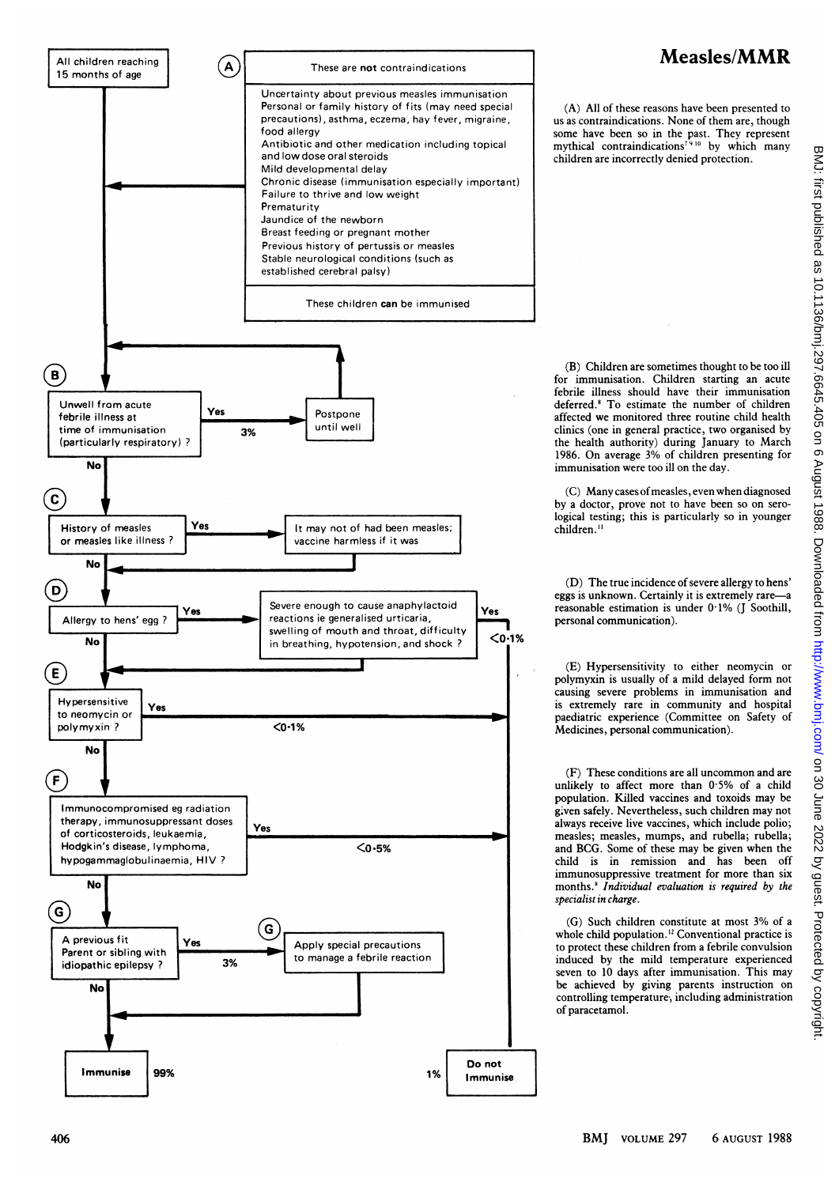

## Measles/MMR

(A) All of these reasons have been presented to us as contraindications. None of them are, though some have been so in the past. They represent mythical contraindications<sup>7910</sup> by which many children are incorrectly denied protection.

(B) Children are sometimes thought to be too ill for immunisation. Children starting an acute febrile illness should have their immunisation deferred.8 To estimate the number of children affected we monitored three routine child health clinics (one in general practice, two organised by the health authority) during January to March 1986. On average 3% of children presenting for immunisation were too ill on the day.

(C) Many cases ofmeasles, even when diagnosed by a doctor, prove not to have been so on serological testing; this is particularly so in younger children.<sup>11</sup>

(D) The true incidence of severe allergy to hens' eggs is unknown. Certainly it is extremely rare-a reasonable estimation is under 0-1% (J Soothill, personal communication).

(E) Hypersensitivity to either neomycin or polymyxin is usually of a mild delayed form not causing severe problems in immunisation and is extremely rare in community and hospital paediatric experience (Committee on Safety of Medicines, personal communication).

(F) These conditions are all uncommon and are unlikely to affect more than  $0.5\%$  of a child population. Killed vaccines and toxoids may be given safely. Nevertheless, such children may not always receive live vaccines, which include polio; measles; measles, mumps, and rubella; rubella; and BCG. Some of these may be given when the child is in remission and has been off immunosuppressive treatment for more than six months.<sup>8</sup> Individual evaluation is required by the specialist in charge.

(G) Such children constitute at most 3% of <sup>a</sup> whole child population.<sup>12</sup> Conventional practice is to protect these children from a febrile convulsion induced by the mild temperature experienced seven to 10 days after immunisation. This may be achieved by giving parents instruction on controlling temperature, including administration of paracetamol.